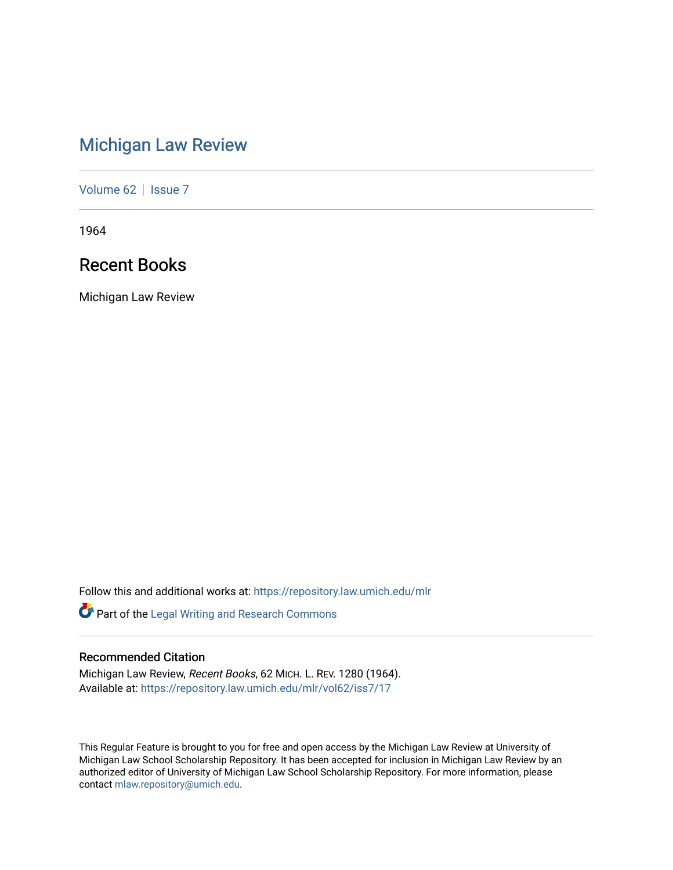# [Michigan Law Review](https://repository.law.umich.edu/mlr)

[Volume 62](https://repository.law.umich.edu/mlr/vol62) | [Issue 7](https://repository.law.umich.edu/mlr/vol62/iss7)

1964

# Recent Books

Michigan Law Review

Follow this and additional works at: [https://repository.law.umich.edu/mlr](https://repository.law.umich.edu/mlr?utm_source=repository.law.umich.edu%2Fmlr%2Fvol62%2Fiss7%2F17&utm_medium=PDF&utm_campaign=PDFCoverPages) 

Part of the [Legal Writing and Research Commons](http://network.bepress.com/hgg/discipline/614?utm_source=repository.law.umich.edu%2Fmlr%2Fvol62%2Fiss7%2F17&utm_medium=PDF&utm_campaign=PDFCoverPages) 

## Recommended Citation

Michigan Law Review, Recent Books, 62 MICH. L. REV. 1280 (1964). Available at: [https://repository.law.umich.edu/mlr/vol62/iss7/17](https://repository.law.umich.edu/mlr/vol62/iss7/17?utm_source=repository.law.umich.edu%2Fmlr%2Fvol62%2Fiss7%2F17&utm_medium=PDF&utm_campaign=PDFCoverPages) 

This Regular Feature is brought to you for free and open access by the Michigan Law Review at University of Michigan Law School Scholarship Repository. It has been accepted for inclusion in Michigan Law Review by an authorized editor of University of Michigan Law School Scholarship Repository. For more information, please contact [mlaw.repository@umich.edu](mailto:mlaw.repository@umich.edu).